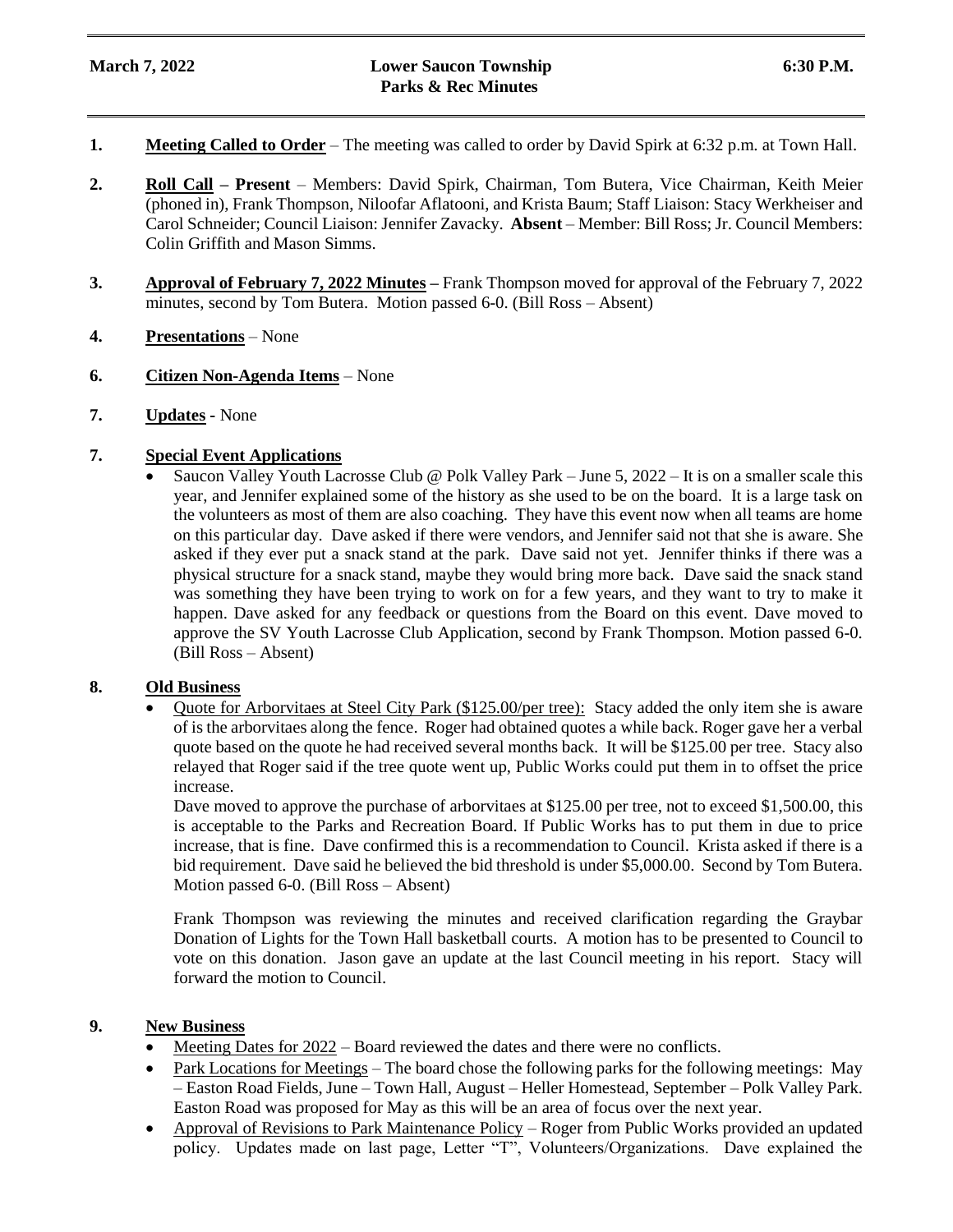- **1. Meeting Called to Order** The meeting was called to order by David Spirk at 6:32 p.m. at Town Hall.
- **2. Roll Call – Present** Members: David Spirk, Chairman, Tom Butera, Vice Chairman, Keith Meier (phoned in), Frank Thompson, Niloofar Aflatooni, and Krista Baum; Staff Liaison: Stacy Werkheiser and Carol Schneider; Council Liaison: Jennifer Zavacky. **Absent** – Member: Bill Ross; Jr. Council Members: Colin Griffith and Mason Simms.
- **3. Approval of February 7, 2022 Minutes –** Frank Thompson moved for approval of the February 7, 2022 minutes, second by Tom Butera. Motion passed 6-0. (Bill Ross – Absent)
- **4. Presentations** None
- **6. Citizen Non-Agenda Items** None
- **7. Updates -** None

## **7. Special Event Applications**

 Saucon Valley Youth Lacrosse Club @ Polk Valley Park – June 5, 2022 – It is on a smaller scale this year, and Jennifer explained some of the history as she used to be on the board. It is a large task on the volunteers as most of them are also coaching. They have this event now when all teams are home on this particular day. Dave asked if there were vendors, and Jennifer said not that she is aware. She asked if they ever put a snack stand at the park. Dave said not yet. Jennifer thinks if there was a physical structure for a snack stand, maybe they would bring more back. Dave said the snack stand was something they have been trying to work on for a few years, and they want to try to make it happen. Dave asked for any feedback or questions from the Board on this event. Dave moved to approve the SV Youth Lacrosse Club Application, second by Frank Thompson. Motion passed 6-0. (Bill Ross – Absent)

#### **8. Old Business**

Quote for Arborvitaes at Steel City Park (\$125.00/per tree): Stacy added the only item she is aware of is the arborvitaes along the fence. Roger had obtained quotes a while back. Roger gave her a verbal quote based on the quote he had received several months back. It will be \$125.00 per tree. Stacy also relayed that Roger said if the tree quote went up, Public Works could put them in to offset the price increase.

Dave moved to approve the purchase of arborvitaes at \$125.00 per tree, not to exceed \$1,500.00, this is acceptable to the Parks and Recreation Board. If Public Works has to put them in due to price increase, that is fine. Dave confirmed this is a recommendation to Council. Krista asked if there is a bid requirement. Dave said he believed the bid threshold is under \$5,000.00. Second by Tom Butera. Motion passed 6-0. (Bill Ross – Absent)

Frank Thompson was reviewing the minutes and received clarification regarding the Graybar Donation of Lights for the Town Hall basketball courts. A motion has to be presented to Council to vote on this donation. Jason gave an update at the last Council meeting in his report. Stacy will forward the motion to Council.

### **9. New Business**

- Meeting Dates for 2022 Board reviewed the dates and there were no conflicts.
- Park Locations for Meetings The board chose the following parks for the following meetings: May – Easton Road Fields, June – Town Hall, August – Heller Homestead, September – Polk Valley Park. Easton Road was proposed for May as this will be an area of focus over the next year.
- Approval of Revisions to Park Maintenance Policy Roger from Public Works provided an updated policy. Updates made on last page, Letter "T", Volunteers/Organizations. Dave explained the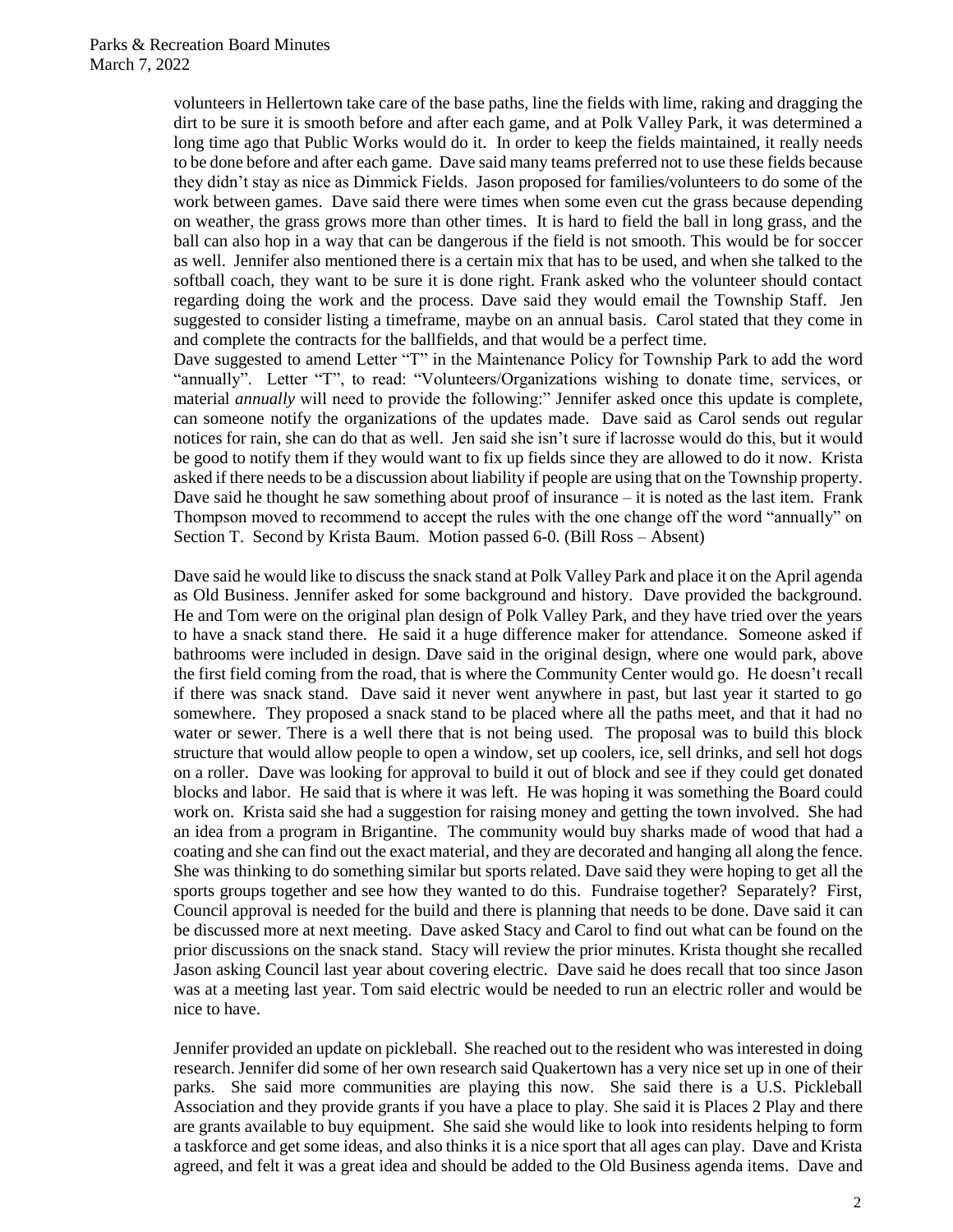volunteers in Hellertown take care of the base paths, line the fields with lime, raking and dragging the dirt to be sure it is smooth before and after each game, and at Polk Valley Park, it was determined a long time ago that Public Works would do it. In order to keep the fields maintained, it really needs to be done before and after each game. Dave said many teams preferred not to use these fields because they didn't stay as nice as Dimmick Fields. Jason proposed for families/volunteers to do some of the work between games. Dave said there were times when some even cut the grass because depending on weather, the grass grows more than other times. It is hard to field the ball in long grass, and the ball can also hop in a way that can be dangerous if the field is not smooth. This would be for soccer as well. Jennifer also mentioned there is a certain mix that has to be used, and when she talked to the softball coach, they want to be sure it is done right. Frank asked who the volunteer should contact regarding doing the work and the process. Dave said they would email the Township Staff. Jen suggested to consider listing a timeframe, maybe on an annual basis. Carol stated that they come in and complete the contracts for the ballfields, and that would be a perfect time.

Dave suggested to amend Letter "T" in the Maintenance Policy for Township Park to add the word "annually". Letter "T", to read: "Volunteers/Organizations wishing to donate time, services, or material *annually* will need to provide the following:" Jennifer asked once this update is complete, can someone notify the organizations of the updates made. Dave said as Carol sends out regular notices for rain, she can do that as well. Jen said she isn't sure if lacrosse would do this, but it would be good to notify them if they would want to fix up fields since they are allowed to do it now. Krista asked if there needs to be a discussion about liability if people are using that on the Township property. Dave said he thought he saw something about proof of insurance  $-$  it is noted as the last item. Frank Thompson moved to recommend to accept the rules with the one change off the word "annually" on Section T. Second by Krista Baum. Motion passed 6-0. (Bill Ross – Absent)

Dave said he would like to discuss the snack stand at Polk Valley Park and place it on the April agenda as Old Business. Jennifer asked for some background and history. Dave provided the background. He and Tom were on the original plan design of Polk Valley Park, and they have tried over the years to have a snack stand there. He said it a huge difference maker for attendance. Someone asked if bathrooms were included in design. Dave said in the original design, where one would park, above the first field coming from the road, that is where the Community Center would go. He doesn't recall if there was snack stand. Dave said it never went anywhere in past, but last year it started to go somewhere. They proposed a snack stand to be placed where all the paths meet, and that it had no water or sewer. There is a well there that is not being used. The proposal was to build this block structure that would allow people to open a window, set up coolers, ice, sell drinks, and sell hot dogs on a roller. Dave was looking for approval to build it out of block and see if they could get donated blocks and labor. He said that is where it was left. He was hoping it was something the Board could work on. Krista said she had a suggestion for raising money and getting the town involved. She had an idea from a program in Brigantine. The community would buy sharks made of wood that had a coating and she can find out the exact material, and they are decorated and hanging all along the fence. She was thinking to do something similar but sports related. Dave said they were hoping to get all the sports groups together and see how they wanted to do this. Fundraise together? Separately? First, Council approval is needed for the build and there is planning that needs to be done. Dave said it can be discussed more at next meeting. Dave asked Stacy and Carol to find out what can be found on the prior discussions on the snack stand. Stacy will review the prior minutes. Krista thought she recalled Jason asking Council last year about covering electric. Dave said he does recall that too since Jason was at a meeting last year. Tom said electric would be needed to run an electric roller and would be nice to have.

Jennifer provided an update on pickleball. She reached out to the resident who was interested in doing research. Jennifer did some of her own research said Quakertown has a very nice set up in one of their parks. She said more communities are playing this now. She said there is a U.S. Pickleball Association and they provide grants if you have a place to play. She said it is Places 2 Play and there are grants available to buy equipment. She said she would like to look into residents helping to form a taskforce and get some ideas, and also thinks it is a nice sport that all ages can play. Dave and Krista agreed, and felt it was a great idea and should be added to the Old Business agenda items. Dave and